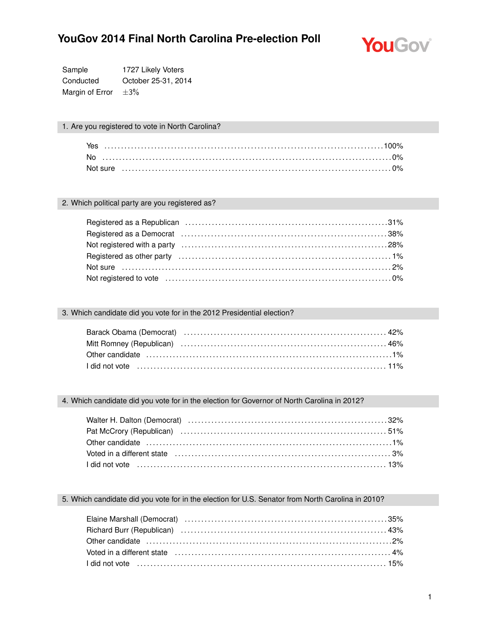

Sample 1727 Likely Voters Conducted October 25-31, 2014 Margin of Error  $\pm 3\%$ 

### 1. Are you registered to vote in North Carolina?

| Yes |  |
|-----|--|
|     |  |
|     |  |

#### 2. Which political party are you registered as?

| Registered as a Republican contract control of the set of the set of the set of the set of the set of the set o |  |
|-----------------------------------------------------------------------------------------------------------------|--|
|                                                                                                                 |  |
|                                                                                                                 |  |
|                                                                                                                 |  |
|                                                                                                                 |  |
| Not registered to vote mature matures are not contained to vote of the set of the set of $\sim 0\%$             |  |

### 3. Which candidate did you vote for in the 2012 Presidential election?

### 4. Which candidate did you vote for in the election for Governor of North Carolina in 2012?

| Voted in a different state (all intermal contained and all intervention of the state of the state of the state of the state of the state of the state of the state of the state of the state of the state of the state of the |  |
|-------------------------------------------------------------------------------------------------------------------------------------------------------------------------------------------------------------------------------|--|
|                                                                                                                                                                                                                               |  |

### 5. Which candidate did you vote for in the election for U.S. Senator from North Carolina in 2010?

| Voted in a different state (all contains and the contained and the state of the state of the state of the state of the state of the state of the state of the state of the state of the state of the state of the state of the       |  |
|--------------------------------------------------------------------------------------------------------------------------------------------------------------------------------------------------------------------------------------|--|
| 1 did not vote <i>mature in the contract of the contract of the contract of the contract of the contract of the contract of the contract of the contract of the contract of the contract of the contract of the contract of the </i> |  |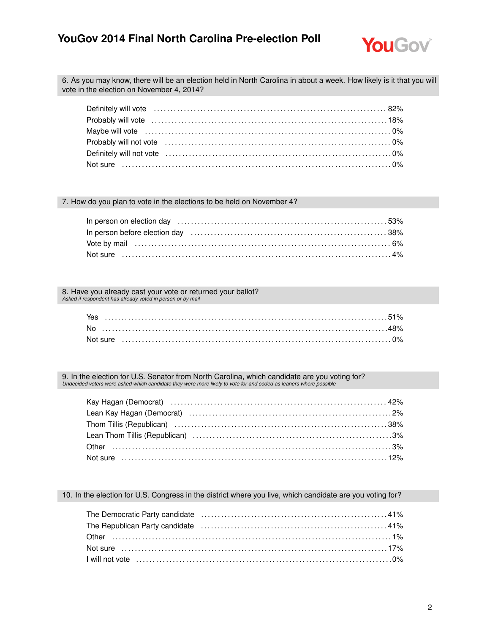

6. As you may know, there will be an election held in North Carolina in about a week. How likely is it that you will vote in the election on November 4, 2014?

7. How do you plan to vote in the elections to be held on November 4?

| In person before election day (all intermal contained and all of the state of the state of the state of the st |  |
|----------------------------------------------------------------------------------------------------------------|--|
|                                                                                                                |  |
| Not sure …………………………………………………………………………………………4%                                                                  |  |

8. Have you already cast your vote or returned your ballot? *Asked if respondent has already voted in person or by mail*

9. In the election for U.S. Senator from North Carolina, which candidate are you voting for? *Undecided voters were asked which candidate they were more likely to vote for and coded as leaners where possible*

| Lean Kay Hagan (Democrat) (1999) (1999) (1999) (1999) (1999) (1999) (1999) (1999) (1999) (1999) (199 |  |
|------------------------------------------------------------------------------------------------------|--|
|                                                                                                      |  |
|                                                                                                      |  |
|                                                                                                      |  |
|                                                                                                      |  |

10. In the election for U.S. Congress in the district where you live, which candidate are you voting for?

| The Republican Party candidate (and the content of the content of the Republican Party candidate (b) |  |  |
|------------------------------------------------------------------------------------------------------|--|--|
|                                                                                                      |  |  |
|                                                                                                      |  |  |
|                                                                                                      |  |  |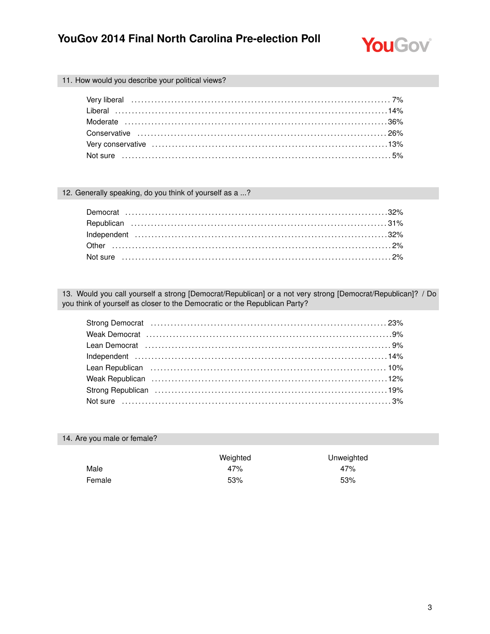

### 11. How would you describe your political views?

#### 12. Generally speaking, do you think of yourself as a ...?

13. Would you call yourself a strong [Democrat/Republican] or a not very strong [Democrat/Republican]? / Do you think of yourself as closer to the Democratic or the Republican Party?

| Lean Republican (and the continuum of the canonical contract to the canonical contract to the canonical contract to the canonical contract of the canonical contract of the canonical contract of the contract of the canonica |  |
|--------------------------------------------------------------------------------------------------------------------------------------------------------------------------------------------------------------------------------|--|
| Weak Republican (19%) Weak Republican (19%) weak Republican (19%) weak Republican (19%) with the state of the Mathematical State Republican (19%) with the State Republican (19%) with the State Republic State Republic State |  |
|                                                                                                                                                                                                                                |  |
|                                                                                                                                                                                                                                |  |

### 14. Are you male or female?

|        | Weighted | Unweighted |
|--------|----------|------------|
| Male   | 47%      | 47%        |
| Female | 53%      | 53%        |